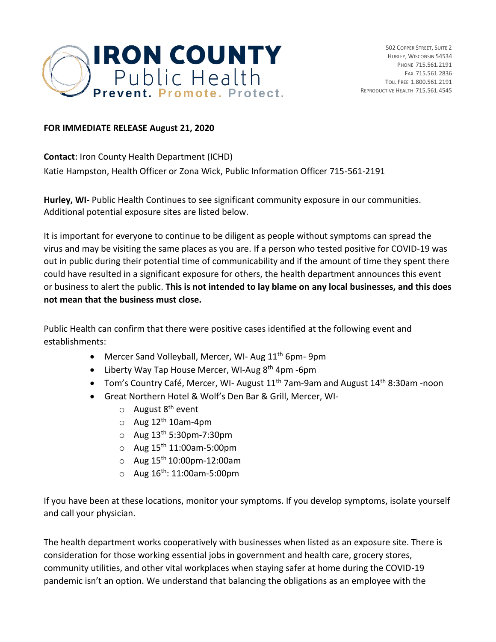

## **FOR IMMEDIATE RELEASE August 21, 2020**

**Contact**: Iron County Health Department (ICHD) Katie Hampston, Health Officer or Zona Wick, Public Information Officer 715-561-2191

**Hurley, WI-** Public Health Continues to see significant community exposure in our communities. Additional potential exposure sites are listed below.

It is important for everyone to continue to be diligent as people without symptoms can spread the virus and may be visiting the same places as you are. If a person who tested positive for COVID-19 was out in public during their potential time of communicability and if the amount of time they spent there could have resulted in a significant exposure for others, the health department announces this event or business to alert the public. **This is not intended to lay blame on any local businesses, and this does not mean that the business must close.** 

Public Health can confirm that there were positive cases identified at the following event and establishments:

- Mercer Sand Volleyball, Mercer, WI- Aug 11<sup>th</sup> 6pm- 9pm
- Liberty Way Tap House Mercer, WI-Aug 8<sup>th</sup> 4pm -6pm
- Tom's Country Café, Mercer, WI- August 11<sup>th</sup> 7am-9am and August 14<sup>th</sup> 8:30am -noon
- Great Northern Hotel & Wolf's Den Bar & Grill, Mercer, WI-
	- $\circ$  August  $8^{th}$  event
	- $\circ$  Aug 12<sup>th</sup> 10am-4pm
	- $\circ$  Aug 13<sup>th</sup> 5:30pm-7:30pm
	- $\circ$  Aug 15<sup>th</sup> 11:00am-5:00pm
	- $\circ$  Aug 15<sup>th</sup> 10:00pm-12:00am
	- $\circ$  Aug 16<sup>th</sup>: 11:00am-5:00pm

If you have been at these locations, monitor your symptoms. If you develop symptoms, isolate yourself and call your physician.

The health department works cooperatively with businesses when listed as an exposure site. There is consideration for those working essential jobs in government and health care, grocery stores, community utilities, and other vital workplaces when staying safer at home during the COVID-19 pandemic isn't an option. We understand that balancing the obligations as an employee with the